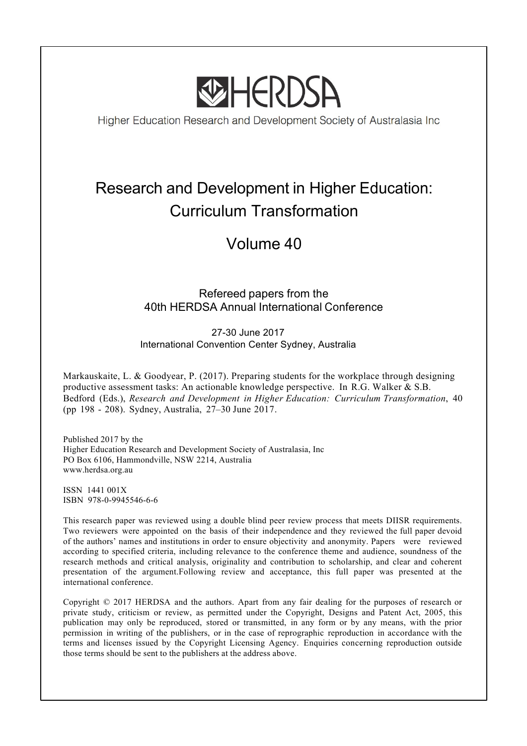

Higher Education Research and Development Society of Australasia Inc

# Research and Development in Higher Education: Curriculum Transformation

## Volume 40

## Refereed papers from the 40th HERDSA Annual International Conference

27-30 June 2017 International Convention Center Sydney, Australia

Markauskaite, L. & Goodyear, P. (2017). Preparing students for the workplace through designing productive assessment tasks: An actionable knowledge perspective. In R.G. Walker & S.B. Bedford (Eds.), *Research and Development in Higher Education: Curriculum Transformation*, 40 (pp 198 - 208). Sydney, Australia, 27–30 June 2017.

Published 2017 by the Higher Education Research and Development Society of Australasia, Inc PO Box 6106, Hammondville, NSW 2214, Australia www.herdsa.org.au

ISSN 1441 001X ISBN 978-0-9945546-6-6

This research paper was reviewed using a double blind peer review process that meets DIISR requirements. Two reviewers were appointed on the basis of their independence and they reviewed the full paper devoid of the authors' names and institutions in order to ensure objectivity and anonymity. Papers were reviewed according to specified criteria, including relevance to the conference theme and audience, soundness of the research methods and critical analysis, originality and contribution to scholarship, and clear and coherent presentation of the argument.Following review and acceptance, this full paper was presented at the international conference.

Copyright © 2017 HERDSA and the authors. Apart from any fair dealing for the purposes of research or private study, criticism or review, as permitted under the Copyright, Designs and Patent Act, 2005, this publication may only be reproduced, stored or transmitted, in any form or by any means, with the prior permission in writing of the publishers, or in the case of reprographic reproduction in accordance with the terms and licenses issued by the Copyright Licensing Agency. Enquiries concerning reproduction outside those terms should be sent to the publishers at the address above.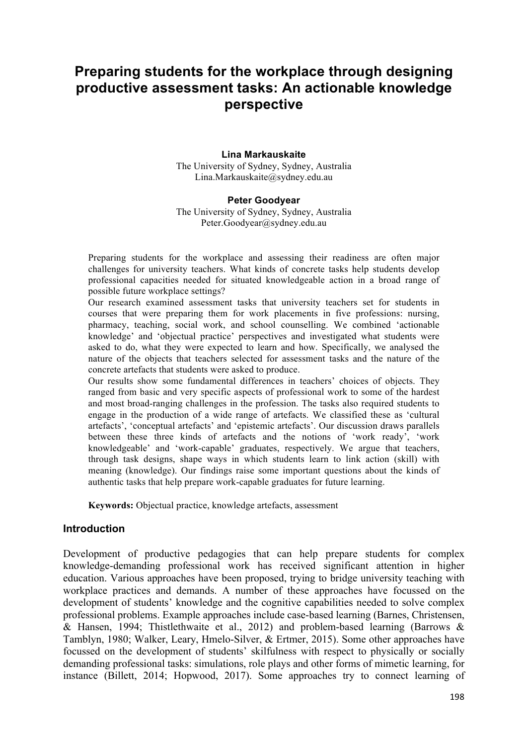## **Preparing students for the workplace through designing productive assessment tasks: An actionable knowledge perspective**

#### **Lina Markauskaite**

The University of Sydney, Sydney, Australia Lina.Markauskaite@sydney.edu.au

#### **Peter Goodyear**

The University of Sydney, Sydney, Australia Peter.Goodyear@sydney.edu.au

Preparing students for the workplace and assessing their readiness are often major challenges for university teachers. What kinds of concrete tasks help students develop professional capacities needed for situated knowledgeable action in a broad range of possible future workplace settings?

Our research examined assessment tasks that university teachers set for students in courses that were preparing them for work placements in five professions: nursing, pharmacy, teaching, social work, and school counselling. We combined 'actionable knowledge' and 'objectual practice' perspectives and investigated what students were asked to do, what they were expected to learn and how. Specifically, we analysed the nature of the objects that teachers selected for assessment tasks and the nature of the concrete artefacts that students were asked to produce.

Our results show some fundamental differences in teachers' choices of objects. They ranged from basic and very specific aspects of professional work to some of the hardest and most broad-ranging challenges in the profession. The tasks also required students to engage in the production of a wide range of artefacts. We classified these as 'cultural artefacts', 'conceptual artefacts' and 'epistemic artefacts'. Our discussion draws parallels between these three kinds of artefacts and the notions of 'work ready', 'work knowledgeable' and 'work-capable' graduates, respectively. We argue that teachers, through task designs, shape ways in which students learn to link action (skill) with meaning (knowledge). Our findings raise some important questions about the kinds of authentic tasks that help prepare work-capable graduates for future learning.

**Keywords:** Objectual practice, knowledge artefacts, assessment

#### **Introduction**

Development of productive pedagogies that can help prepare students for complex knowledge-demanding professional work has received significant attention in higher education. Various approaches have been proposed, trying to bridge university teaching with workplace practices and demands. A number of these approaches have focussed on the development of students' knowledge and the cognitive capabilities needed to solve complex professional problems. Example approaches include case-based learning (Barnes, Christensen, & Hansen, 1994; Thistlethwaite et al., 2012) and problem-based learning (Barrows & Tamblyn, 1980; Walker, Leary, Hmelo-Silver, & Ertmer, 2015). Some other approaches have focussed on the development of students' skilfulness with respect to physically or socially demanding professional tasks: simulations, role plays and other forms of mimetic learning, for instance (Billett, 2014; Hopwood, 2017). Some approaches try to connect learning of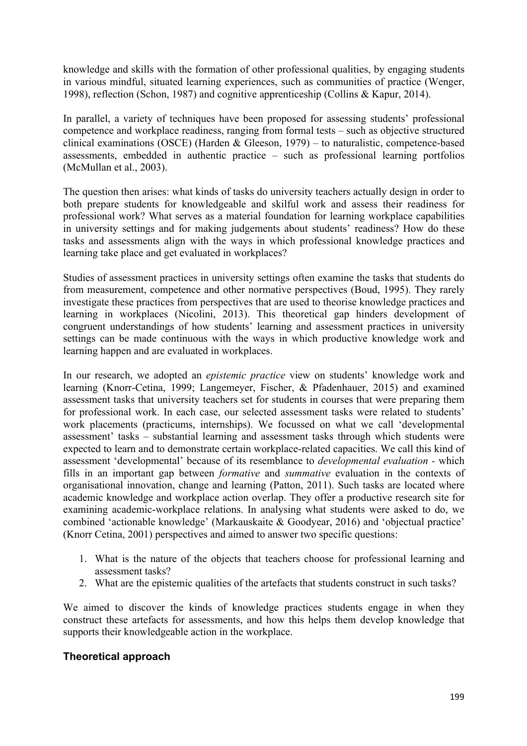knowledge and skills with the formation of other professional qualities, by engaging students in various mindful, situated learning experiences, such as communities of practice (Wenger, 1998), reflection (Schon, 1987) and cognitive apprenticeship (Collins & Kapur, 2014).

In parallel, a variety of techniques have been proposed for assessing students' professional competence and workplace readiness, ranging from formal tests – such as objective structured clinical examinations (OSCE) (Harden & Gleeson, 1979) – to naturalistic, competence-based assessments, embedded in authentic practice – such as professional learning portfolios (McMullan et al., 2003).

The question then arises: what kinds of tasks do university teachers actually design in order to both prepare students for knowledgeable and skilful work and assess their readiness for professional work? What serves as a material foundation for learning workplace capabilities in university settings and for making judgements about students' readiness? How do these tasks and assessments align with the ways in which professional knowledge practices and learning take place and get evaluated in workplaces?

Studies of assessment practices in university settings often examine the tasks that students do from measurement, competence and other normative perspectives (Boud, 1995). They rarely investigate these practices from perspectives that are used to theorise knowledge practices and learning in workplaces (Nicolini, 2013). This theoretical gap hinders development of congruent understandings of how students' learning and assessment practices in university settings can be made continuous with the ways in which productive knowledge work and learning happen and are evaluated in workplaces.

In our research, we adopted an *epistemic practice* view on students' knowledge work and learning (Knorr-Cetina, 1999; Langemeyer, Fischer, & Pfadenhauer, 2015) and examined assessment tasks that university teachers set for students in courses that were preparing them for professional work. In each case, our selected assessment tasks were related to students' work placements (practicums, internships). We focussed on what we call 'developmental assessment' tasks – substantial learning and assessment tasks through which students were expected to learn and to demonstrate certain workplace-related capacities. We call this kind of assessment 'developmental' because of its resemblance to *developmental evaluation -* which fills in an important gap between *formative* and *summative* evaluation in the contexts of organisational innovation, change and learning (Patton, 2011). Such tasks are located where academic knowledge and workplace action overlap. They offer a productive research site for examining academic-workplace relations. In analysing what students were asked to do, we combined 'actionable knowledge' (Markauskaite & Goodyear, 2016) and 'objectual practice' (Knorr Cetina, 2001) perspectives and aimed to answer two specific questions:

- 1. What is the nature of the objects that teachers choose for professional learning and assessment tasks?
- 2. What are the epistemic qualities of the artefacts that students construct in such tasks?

We aimed to discover the kinds of knowledge practices students engage in when they construct these artefacts for assessments, and how this helps them develop knowledge that supports their knowledgeable action in the workplace.

## **Theoretical approach**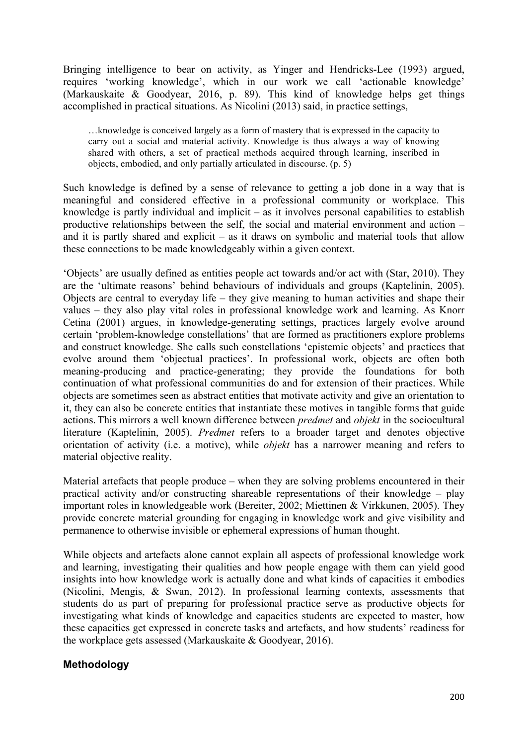Bringing intelligence to bear on activity, as Yinger and Hendricks-Lee (1993) argued, requires 'working knowledge', which in our work we call 'actionable knowledge' (Markauskaite & Goodyear, 2016, p. 89). This kind of knowledge helps get things accomplished in practical situations. As Nicolini (2013) said, in practice settings,

…knowledge is conceived largely as a form of mastery that is expressed in the capacity to carry out a social and material activity. Knowledge is thus always a way of knowing shared with others, a set of practical methods acquired through learning, inscribed in objects, embodied, and only partially articulated in discourse. (p. 5)

Such knowledge is defined by a sense of relevance to getting a job done in a way that is meaningful and considered effective in a professional community or workplace. This knowledge is partly individual and implicit – as it involves personal capabilities to establish productive relationships between the self, the social and material environment and action – and it is partly shared and explicit – as it draws on symbolic and material tools that allow these connections to be made knowledgeably within a given context.

'Objects' are usually defined as entities people act towards and/or act with (Star, 2010). They are the 'ultimate reasons' behind behaviours of individuals and groups (Kaptelinin, 2005). Objects are central to everyday life – they give meaning to human activities and shape their values – they also play vital roles in professional knowledge work and learning. As Knorr Cetina (2001) argues, in knowledge-generating settings, practices largely evolve around certain 'problem-knowledge constellations' that are formed as practitioners explore problems and construct knowledge. She calls such constellations 'epistemic objects' and practices that evolve around them 'objectual practices'. In professional work, objects are often both meaning-producing and practice-generating; they provide the foundations for both continuation of what professional communities do and for extension of their practices. While objects are sometimes seen as abstract entities that motivate activity and give an orientation to it, they can also be concrete entities that instantiate these motives in tangible forms that guide actions. This mirrors a well known difference between *predmet* and *objekt* in the sociocultural literature (Kaptelinin, 2005). *Predmet* refers to a broader target and denotes objective orientation of activity (i.e. a motive), while *objekt* has a narrower meaning and refers to material objective reality.

Material artefacts that people produce – when they are solving problems encountered in their practical activity and/or constructing shareable representations of their knowledge – play important roles in knowledgeable work (Bereiter, 2002; Miettinen & Virkkunen, 2005). They provide concrete material grounding for engaging in knowledge work and give visibility and permanence to otherwise invisible or ephemeral expressions of human thought.

While objects and artefacts alone cannot explain all aspects of professional knowledge work and learning, investigating their qualities and how people engage with them can yield good insights into how knowledge work is actually done and what kinds of capacities it embodies (Nicolini, Mengis, & Swan, 2012). In professional learning contexts, assessments that students do as part of preparing for professional practice serve as productive objects for investigating what kinds of knowledge and capacities students are expected to master, how these capacities get expressed in concrete tasks and artefacts, and how students' readiness for the workplace gets assessed (Markauskaite & Goodyear, 2016).

## **Methodology**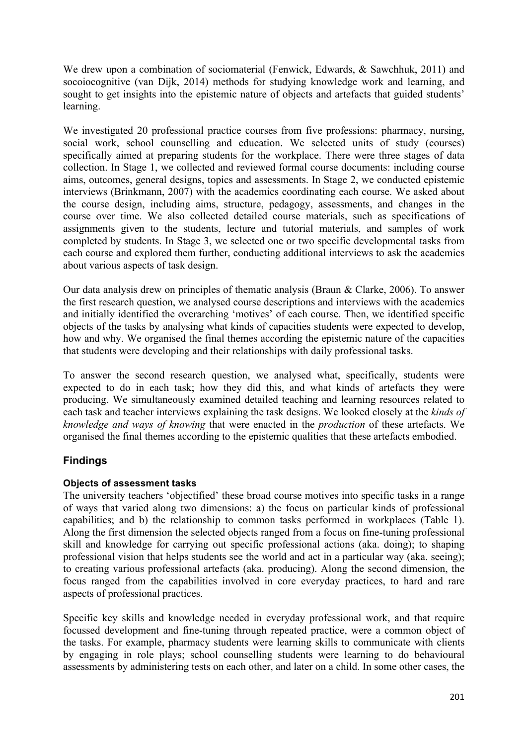We drew upon a combination of sociomaterial (Fenwick, Edwards, & Sawchhuk, 2011) and socoiocognitive (van Dijk, 2014) methods for studying knowledge work and learning, and sought to get insights into the epistemic nature of objects and artefacts that guided students' learning.

We investigated 20 professional practice courses from five professions: pharmacy, nursing, social work, school counselling and education. We selected units of study (courses) specifically aimed at preparing students for the workplace. There were three stages of data collection. In Stage 1, we collected and reviewed formal course documents: including course aims, outcomes, general designs, topics and assessments. In Stage 2, we conducted epistemic interviews (Brinkmann, 2007) with the academics coordinating each course. We asked about the course design, including aims, structure, pedagogy, assessments, and changes in the course over time. We also collected detailed course materials, such as specifications of assignments given to the students, lecture and tutorial materials, and samples of work completed by students. In Stage 3, we selected one or two specific developmental tasks from each course and explored them further, conducting additional interviews to ask the academics about various aspects of task design.

Our data analysis drew on principles of thematic analysis (Braun & Clarke, 2006). To answer the first research question, we analysed course descriptions and interviews with the academics and initially identified the overarching 'motives' of each course. Then, we identified specific objects of the tasks by analysing what kinds of capacities students were expected to develop, how and why. We organised the final themes according the epistemic nature of the capacities that students were developing and their relationships with daily professional tasks.

To answer the second research question, we analysed what, specifically, students were expected to do in each task; how they did this, and what kinds of artefacts they were producing. We simultaneously examined detailed teaching and learning resources related to each task and teacher interviews explaining the task designs. We looked closely at the *kinds of knowledge and ways of knowing* that were enacted in the *production* of these artefacts. We organised the final themes according to the epistemic qualities that these artefacts embodied.

## **Findings**

## **Objects of assessment tasks**

The university teachers 'objectified' these broad course motives into specific tasks in a range of ways that varied along two dimensions: a) the focus on particular kinds of professional capabilities; and b) the relationship to common tasks performed in workplaces (Table 1). Along the first dimension the selected objects ranged from a focus on fine-tuning professional skill and knowledge for carrying out specific professional actions (aka. doing); to shaping professional vision that helps students see the world and act in a particular way (aka. seeing); to creating various professional artefacts (aka. producing). Along the second dimension, the focus ranged from the capabilities involved in core everyday practices, to hard and rare aspects of professional practices.

Specific key skills and knowledge needed in everyday professional work, and that require focussed development and fine-tuning through repeated practice, were a common object of the tasks. For example, pharmacy students were learning skills to communicate with clients by engaging in role plays; school counselling students were learning to do behavioural assessments by administering tests on each other, and later on a child. In some other cases, the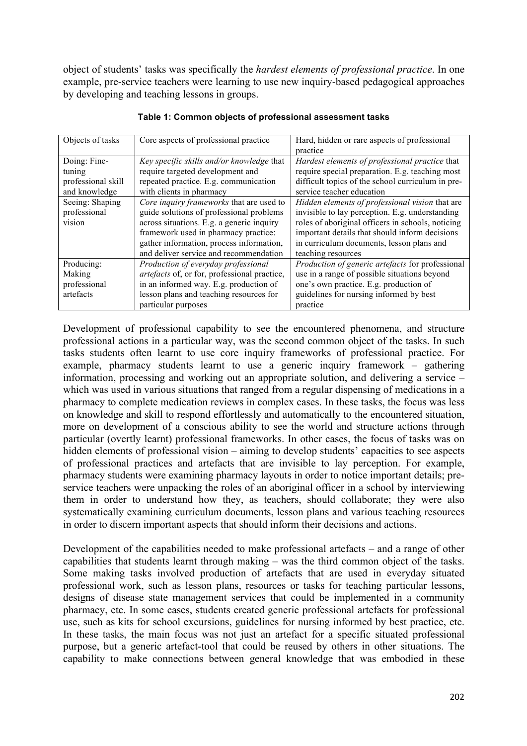object of students' tasks was specifically the *hardest elements of professional practice*. In one example, pre-service teachers were learning to use new inquiry-based pedagogical approaches by developing and teaching lessons in groups.

| Objects of tasks   | Core aspects of professional practice        | Hard, hidden or rare aspects of professional            |
|--------------------|----------------------------------------------|---------------------------------------------------------|
|                    |                                              | practice                                                |
| Doing: Fine-       | Key specific skills and/or knowledge that    | Hardest elements of professional practice that          |
| tuning             | require targeted development and             | require special preparation. E.g. teaching most         |
| professional skill | repeated practice. E.g. communication        | difficult topics of the school curriculum in pre-       |
| and knowledge      | with clients in pharmacy                     | service teacher education                               |
| Seeing: Shaping    | Core inquiry frameworks that are used to     | Hidden elements of professional vision that are         |
| professional       | guide solutions of professional problems     | invisible to lay perception. E.g. understanding         |
| vision             | across situations. E.g. a generic inquiry    | roles of aboriginal officers in schools, noticing       |
|                    | framework used in pharmacy practice:         | important details that should inform decisions          |
|                    | gather information, process information,     | in curriculum documents, lesson plans and               |
|                    | and deliver service and recommendation       | teaching resources                                      |
| Producing:         | Production of everyday professional          | <i>Production of generic artefacts for professional</i> |
| Making             | artefacts of, or for, professional practice, | use in a range of possible situations beyond            |
| professional       | in an informed way. E.g. production of       | one's own practice. E.g. production of                  |
| artefacts          | lesson plans and teaching resources for      | guidelines for nursing informed by best                 |
|                    | particular purposes                          | practice                                                |

#### **Table 1: Common objects of professional assessment tasks**

Development of professional capability to see the encountered phenomena, and structure professional actions in a particular way, was the second common object of the tasks. In such tasks students often learnt to use core inquiry frameworks of professional practice. For example, pharmacy students learnt to use a generic inquiry framework – gathering information, processing and working out an appropriate solution, and delivering a service – which was used in various situations that ranged from a regular dispensing of medications in a pharmacy to complete medication reviews in complex cases. In these tasks, the focus was less on knowledge and skill to respond effortlessly and automatically to the encountered situation, more on development of a conscious ability to see the world and structure actions through particular (overtly learnt) professional frameworks. In other cases, the focus of tasks was on hidden elements of professional vision – aiming to develop students' capacities to see aspects of professional practices and artefacts that are invisible to lay perception. For example, pharmacy students were examining pharmacy layouts in order to notice important details; preservice teachers were unpacking the roles of an aboriginal officer in a school by interviewing them in order to understand how they, as teachers, should collaborate; they were also systematically examining curriculum documents, lesson plans and various teaching resources in order to discern important aspects that should inform their decisions and actions.

Development of the capabilities needed to make professional artefacts – and a range of other capabilities that students learnt through making – was the third common object of the tasks. Some making tasks involved production of artefacts that are used in everyday situated professional work, such as lesson plans, resources or tasks for teaching particular lessons, designs of disease state management services that could be implemented in a community pharmacy, etc. In some cases, students created generic professional artefacts for professional use, such as kits for school excursions, guidelines for nursing informed by best practice, etc. In these tasks, the main focus was not just an artefact for a specific situated professional purpose, but a generic artefact-tool that could be reused by others in other situations. The capability to make connections between general knowledge that was embodied in these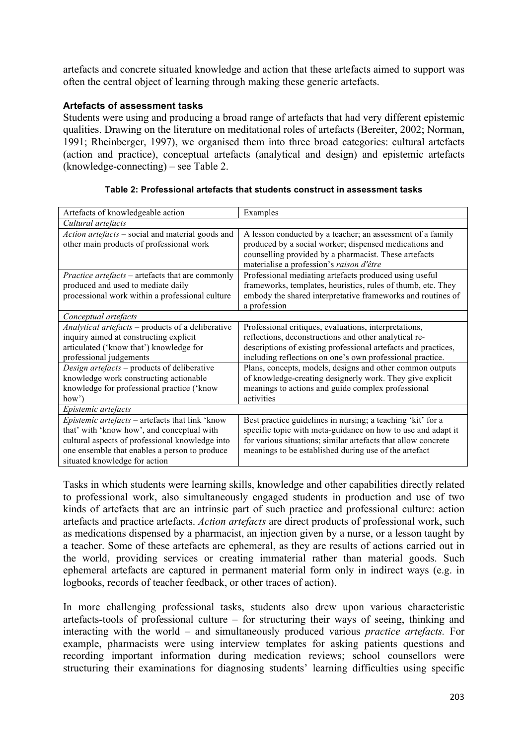artefacts and concrete situated knowledge and action that these artefacts aimed to support was often the central object of learning through making these generic artefacts.

### **Artefacts of assessment tasks**

Students were using and producing a broad range of artefacts that had very different epistemic qualities. Drawing on the literature on meditational roles of artefacts (Bereiter, 2002; Norman, 1991; Rheinberger, 1997), we organised them into three broad categories: cultural artefacts (action and practice), conceptual artefacts (analytical and design) and epistemic artefacts (knowledge-connecting) – see Table 2.

| Artefacts of knowledgeable action                                                                                                                                                                                                  | Examples                                                                                                                                                                                                                                              |  |  |
|------------------------------------------------------------------------------------------------------------------------------------------------------------------------------------------------------------------------------------|-------------------------------------------------------------------------------------------------------------------------------------------------------------------------------------------------------------------------------------------------------|--|--|
| Cultural artefacts                                                                                                                                                                                                                 |                                                                                                                                                                                                                                                       |  |  |
| Action artefacts – social and material goods and<br>other main products of professional work                                                                                                                                       | A lesson conducted by a teacher; an assessment of a family<br>produced by a social worker; dispensed medications and<br>counselling provided by a pharmacist. These artefacts<br>materialise a profession's raison d'être                             |  |  |
| <i>Practice artefacts</i> – artefacts that are commonly<br>produced and used to mediate daily<br>processional work within a professional culture                                                                                   | Professional mediating artefacts produced using useful<br>frameworks, templates, heuristics, rules of thumb, etc. They<br>embody the shared interpretative frameworks and routines of<br>a profession                                                 |  |  |
| Conceptual artefacts                                                                                                                                                                                                               |                                                                                                                                                                                                                                                       |  |  |
| Analytical artefacts - products of a deliberative<br>inquiry aimed at constructing explicit<br>articulated ('know that') knowledge for<br>professional judgements                                                                  | Professional critiques, evaluations, interpretations,<br>reflections, deconstructions and other analytical re-<br>descriptions of existing professional artefacts and practices,<br>including reflections on one's own professional practice.         |  |  |
| Design artefacts – products of deliberative<br>knowledge work constructing actionable<br>knowledge for professional practice ('know<br>how')                                                                                       | Plans, concepts, models, designs and other common outputs<br>of knowledge-creating designerly work. They give explicit<br>meanings to actions and guide complex professional<br>activities                                                            |  |  |
| Epistemic artefacts                                                                                                                                                                                                                |                                                                                                                                                                                                                                                       |  |  |
| Epistemic artefacts - artefacts that link 'know<br>that' with 'know how', and conceptual with<br>cultural aspects of professional knowledge into<br>one ensemble that enables a person to produce<br>situated knowledge for action | Best practice guidelines in nursing; a teaching 'kit' for a<br>specific topic with meta-guidance on how to use and adapt it<br>for various situations; similar artefacts that allow concrete<br>meanings to be established during use of the artefact |  |  |

Tasks in which students were learning skills, knowledge and other capabilities directly related to professional work, also simultaneously engaged students in production and use of two kinds of artefacts that are an intrinsic part of such practice and professional culture: action artefacts and practice artefacts. *Action artefacts* are direct products of professional work, such as medications dispensed by a pharmacist, an injection given by a nurse, or a lesson taught by a teacher. Some of these artefacts are ephemeral, as they are results of actions carried out in the world, providing services or creating immaterial rather than material goods. Such ephemeral artefacts are captured in permanent material form only in indirect ways (e.g. in logbooks, records of teacher feedback, or other traces of action).

In more challenging professional tasks, students also drew upon various characteristic artefacts-tools of professional culture – for structuring their ways of seeing, thinking and interacting with the world – and simultaneously produced various *practice artefacts.* For example, pharmacists were using interview templates for asking patients questions and recording important information during medication reviews; school counsellors were structuring their examinations for diagnosing students' learning difficulties using specific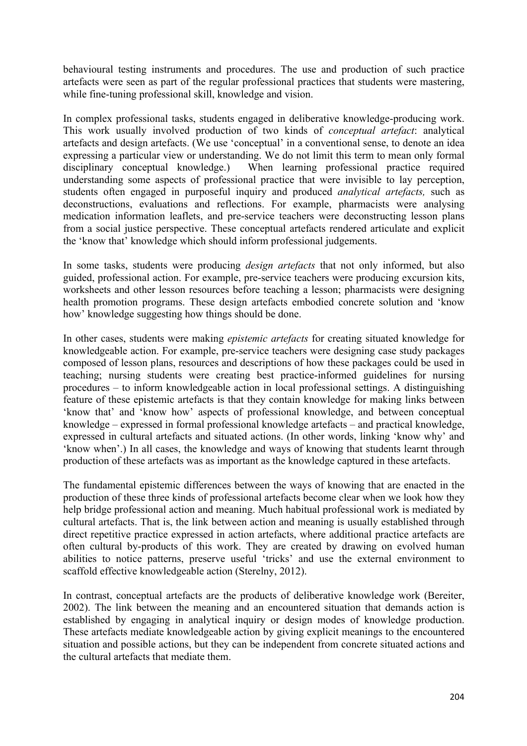behavioural testing instruments and procedures. The use and production of such practice artefacts were seen as part of the regular professional practices that students were mastering, while fine-tuning professional skill, knowledge and vision.

In complex professional tasks, students engaged in deliberative knowledge-producing work. This work usually involved production of two kinds of *conceptual artefact*: analytical artefacts and design artefacts. (We use 'conceptual' in a conventional sense, to denote an idea expressing a particular view or understanding. We do not limit this term to mean only formal disciplinary conceptual knowledge.) When learning professional practice required understanding some aspects of professional practice that were invisible to lay perception, students often engaged in purposeful inquiry and produced *analytical artefacts,* such as deconstructions, evaluations and reflections. For example, pharmacists were analysing medication information leaflets, and pre-service teachers were deconstructing lesson plans from a social justice perspective. These conceptual artefacts rendered articulate and explicit the 'know that' knowledge which should inform professional judgements.

In some tasks, students were producing *design artefacts* that not only informed, but also guided, professional action. For example, pre-service teachers were producing excursion kits, worksheets and other lesson resources before teaching a lesson; pharmacists were designing health promotion programs. These design artefacts embodied concrete solution and 'know how' knowledge suggesting how things should be done.

In other cases, students were making *epistemic artefacts* for creating situated knowledge for knowledgeable action. For example, pre-service teachers were designing case study packages composed of lesson plans, resources and descriptions of how these packages could be used in teaching; nursing students were creating best practice-informed guidelines for nursing procedures – to inform knowledgeable action in local professional settings. A distinguishing feature of these epistemic artefacts is that they contain knowledge for making links between 'know that' and 'know how' aspects of professional knowledge, and between conceptual knowledge – expressed in formal professional knowledge artefacts – and practical knowledge, expressed in cultural artefacts and situated actions. (In other words, linking 'know why' and 'know when'.) In all cases, the knowledge and ways of knowing that students learnt through production of these artefacts was as important as the knowledge captured in these artefacts.

The fundamental epistemic differences between the ways of knowing that are enacted in the production of these three kinds of professional artefacts become clear when we look how they help bridge professional action and meaning. Much habitual professional work is mediated by cultural artefacts. That is, the link between action and meaning is usually established through direct repetitive practice expressed in action artefacts, where additional practice artefacts are often cultural by-products of this work. They are created by drawing on evolved human abilities to notice patterns, preserve useful 'tricks' and use the external environment to scaffold effective knowledgeable action (Sterelny, 2012).

In contrast, conceptual artefacts are the products of deliberative knowledge work (Bereiter, 2002). The link between the meaning and an encountered situation that demands action is established by engaging in analytical inquiry or design modes of knowledge production. These artefacts mediate knowledgeable action by giving explicit meanings to the encountered situation and possible actions, but they can be independent from concrete situated actions and the cultural artefacts that mediate them.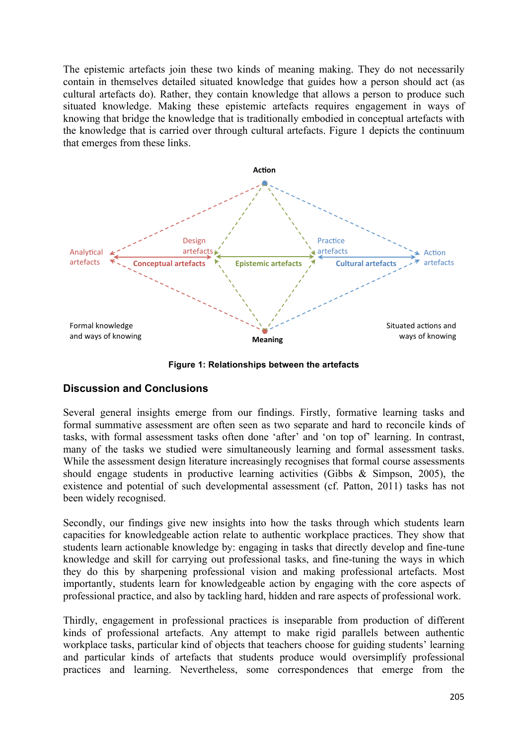The epistemic artefacts join these two kinds of meaning making. They do not necessarily contain in themselves detailed situated knowledge that guides how a person should act (as cultural artefacts do). Rather, they contain knowledge that allows a person to produce such situated knowledge. Making these epistemic artefacts requires engagement in ways of knowing that bridge the knowledge that is traditionally embodied in conceptual artefacts with the knowledge that is carried over through cultural artefacts. Figure 1 depicts the continuum that emerges from these links.



**Figure 1: Relationships between the artefacts**

## **Discussion and Conclusions**

Several general insights emerge from our findings. Firstly, formative learning tasks and formal summative assessment are often seen as two separate and hard to reconcile kinds of tasks, with formal assessment tasks often done 'after' and 'on top of' learning. In contrast, many of the tasks we studied were simultaneously learning and formal assessment tasks. While the assessment design literature increasingly recognises that formal course assessments should engage students in productive learning activities (Gibbs & Simpson, 2005), the existence and potential of such developmental assessment (cf. Patton, 2011) tasks has not been widely recognised.

Secondly, our findings give new insights into how the tasks through which students learn capacities for knowledgeable action relate to authentic workplace practices. They show that students learn actionable knowledge by: engaging in tasks that directly develop and fine-tune knowledge and skill for carrying out professional tasks, and fine-tuning the ways in which they do this by sharpening professional vision and making professional artefacts. Most importantly, students learn for knowledgeable action by engaging with the core aspects of professional practice, and also by tackling hard, hidden and rare aspects of professional work.

Thirdly, engagement in professional practices is inseparable from production of different kinds of professional artefacts. Any attempt to make rigid parallels between authentic workplace tasks, particular kind of objects that teachers choose for guiding students' learning and particular kinds of artefacts that students produce would oversimplify professional practices and learning. Nevertheless, some correspondences that emerge from the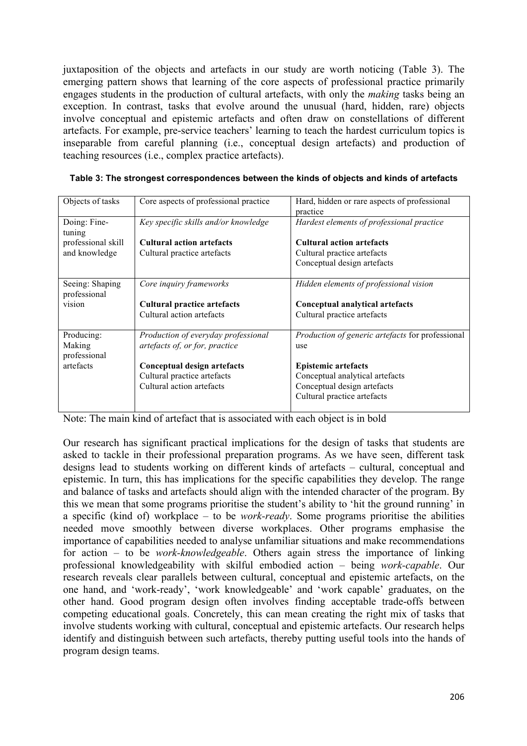juxtaposition of the objects and artefacts in our study are worth noticing (Table 3). The emerging pattern shows that learning of the core aspects of professional practice primarily engages students in the production of cultural artefacts, with only the *making* tasks being an exception. In contrast, tasks that evolve around the unusual (hard, hidden, rare) objects involve conceptual and epistemic artefacts and often draw on constellations of different artefacts. For example, pre-service teachers' learning to teach the hardest curriculum topics is inseparable from careful planning (i.e., conceptual design artefacts) and production of teaching resources (i.e., complex practice artefacts).

| Objects of tasks   | Core aspects of professional practice | Hard, hidden or rare aspects of professional            |
|--------------------|---------------------------------------|---------------------------------------------------------|
|                    |                                       | practice                                                |
| Doing: Fine-       | Key specific skills and/or knowledge  | Hardest elements of professional practice               |
| tuning             |                                       |                                                         |
| professional skill | <b>Cultural action artefacts</b>      | <b>Cultural action artefacts</b>                        |
| and knowledge      | Cultural practice artefacts           | Cultural practice artefacts                             |
|                    |                                       | Conceptual design artefacts                             |
|                    |                                       |                                                         |
| Seeing: Shaping    | Core inquiry frameworks               | Hidden elements of professional vision                  |
| professional       |                                       |                                                         |
| vision             | <b>Cultural practice artefacts</b>    | Conceptual analytical artefacts                         |
|                    | Cultural action artefacts             | Cultural practice artefacts                             |
|                    |                                       |                                                         |
| Producing:         | Production of everyday professional   | <i>Production of generic artefacts for professional</i> |
| Making             | artefacts of, or for, practice        | use                                                     |
|                    |                                       |                                                         |
| professional       |                                       |                                                         |
| artefacts          | Conceptual design artefacts           | <b>Epistemic artefacts</b>                              |
|                    | Cultural practice artefacts           | Conceptual analytical artefacts                         |
|                    | Cultural action artefacts             | Conceptual design artefacts                             |
|                    |                                       | Cultural practice artefacts                             |

**Table 3: The strongest correspondences between the kinds of objects and kinds of artefacts**

Note: The main kind of artefact that is associated with each object is in bold

Our research has significant practical implications for the design of tasks that students are asked to tackle in their professional preparation programs. As we have seen, different task designs lead to students working on different kinds of artefacts – cultural, conceptual and epistemic. In turn, this has implications for the specific capabilities they develop. The range and balance of tasks and artefacts should align with the intended character of the program. By this we mean that some programs prioritise the student's ability to 'hit the ground running' in a specific (kind of) workplace – to be *work-ready*. Some programs prioritise the abilities needed move smoothly between diverse workplaces. Other programs emphasise the importance of capabilities needed to analyse unfamiliar situations and make recommendations for action – to be *work-knowledgeable*. Others again stress the importance of linking professional knowledgeability with skilful embodied action – being *work-capable*. Our research reveals clear parallels between cultural, conceptual and epistemic artefacts, on the one hand, and 'work-ready', 'work knowledgeable' and 'work capable' graduates, on the other hand. Good program design often involves finding acceptable trade-offs between competing educational goals. Concretely, this can mean creating the right mix of tasks that involve students working with cultural, conceptual and epistemic artefacts. Our research helps identify and distinguish between such artefacts, thereby putting useful tools into the hands of program design teams.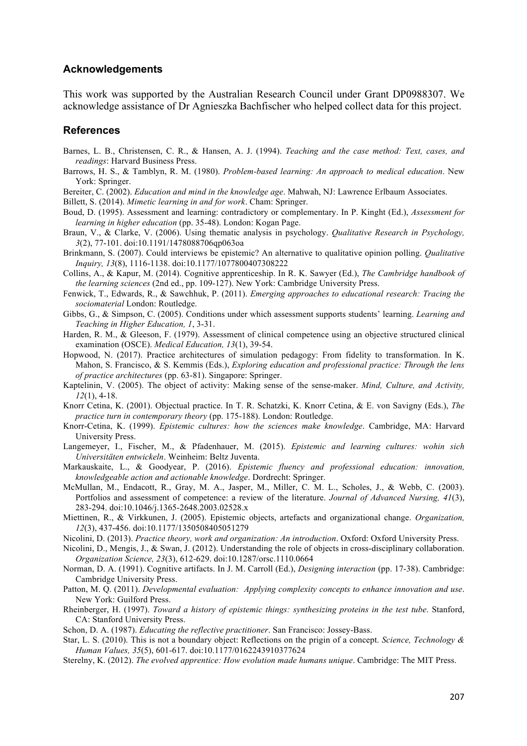#### **Acknowledgements**

This work was supported by the Australian Research Council under Grant DP0988307. We acknowledge assistance of Dr Agnieszka Bachfischer who helped collect data for this project.

#### **References**

- Barnes, L. B., Christensen, C. R., & Hansen, A. J. (1994). *Teaching and the case method: Text, cases, and readings*: Harvard Business Press.
- Barrows, H. S., & Tamblyn, R. M. (1980). *Problem-based learning: An approach to medical education*. New York: Springer.
- Bereiter, C. (2002). *Education and mind in the knowledge age*. Mahwah, NJ: Lawrence Erlbaum Associates.
- Billett, S. (2014). *Mimetic learning in and for work*. Cham: Springer.
- Boud, D. (1995). Assessment and learning: contradictory or complementary. In P. Kinght (Ed.), *Assessment for learning in higher education* (pp. 35-48). London: Kogan Page.
- Braun, V., & Clarke, V. (2006). Using thematic analysis in psychology. *Qualitative Research in Psychology, 3*(2), 77-101. doi:10.1191/1478088706qp063oa
- Brinkmann, S. (2007). Could interviews be epistemic? An alternative to qualitative opinion polling. *Qualitative Inquiry, 13*(8), 1116-1138. doi:10.1177/1077800407308222
- Collins, A., & Kapur, M. (2014). Cognitive apprenticeship. In R. K. Sawyer (Ed.), *The Cambridge handbook of the learning sciences* (2nd ed., pp. 109-127). New York: Cambridge University Press.
- Fenwick, T., Edwards, R., & Sawchhuk, P. (2011). *Emerging approaches to educational research: Tracing the sociomaterial* London: Routledge.
- Gibbs, G., & Simpson, C. (2005). Conditions under which assessment supports students' learning. *Learning and Teaching in Higher Education, 1*, 3-31.
- Harden, R. M., & Gleeson, F. (1979). Assessment of clinical competence using an objective structured clinical examination (OSCE). *Medical Education, 13*(1), 39-54.
- Hopwood, N. (2017). Practice architectures of simulation pedagogy: From fidelity to transformation. In K. Mahon, S. Francisco, & S. Kemmis (Eds.), *Exploring education and professional practice: Through the lens of practice architectures* (pp. 63-81). Singapore: Springer.
- Kaptelinin, V. (2005). The object of activity: Making sense of the sense-maker. *Mind, Culture, and Activity, 12*(1), 4-18.
- Knorr Cetina, K. (2001). Objectual practice. In T. R. Schatzki, K. Knorr Cetina, & E. von Savigny (Eds.), *The practice turn in contemporary theory* (pp. 175-188). London: Routledge.
- Knorr-Cetina, K. (1999). *Epistemic cultures: how the sciences make knowledge*. Cambridge, MA: Harvard University Press.
- Langemeyer, I., Fischer, M., & Pfadenhauer, M. (2015). *Epistemic and learning cultures: wohin sich Universitäten entwickeln*. Weinheim: Beltz Juventa.
- Markauskaite, L., & Goodyear, P. (2016). *Epistemic fluency and professional education: innovation, knowledgeable action and actionable knowledge*. Dordrecht: Springer.
- McMullan, M., Endacott, R., Gray, M. A., Jasper, M., Miller, C. M. L., Scholes, J., & Webb, C. (2003). Portfolios and assessment of competence: a review of the literature. *Journal of Advanced Nursing, 41*(3), 283-294. doi:10.1046/j.1365-2648.2003.02528.x
- Miettinen, R., & Virkkunen, J. (2005). Epistemic objects, artefacts and organizational change. *Organization, 12*(3), 437-456. doi:10.1177/1350508405051279
- Nicolini, D. (2013). *Practice theory, work and organization: An introduction*. Oxford: Oxford University Press.
- Nicolini, D., Mengis, J., & Swan, J. (2012). Understanding the role of objects in cross-disciplinary collaboration. *Organization Science, 23*(3), 612-629. doi:10.1287/orsc.1110.0664
- Norman, D. A. (1991). Cognitive artifacts. In J. M. Carroll (Ed.), *Designing interaction* (pp. 17-38). Cambridge: Cambridge University Press.
- Patton, M. Q. (2011). *Developmental evaluation: Applying complexity concepts to enhance innovation and use*. New York: Guilford Press.
- Rheinberger, H. (1997). *Toward a history of epistemic things: synthesizing proteins in the test tube*. Stanford, CA: Stanford University Press.
- Schon, D. A. (1987). *Educating the reflective practitioner*. San Francisco: Jossey-Bass.
- Star, L. S. (2010). This is not a boundary object: Reflections on the prigin of a concept. *Science, Technology & Human Values, 35*(5), 601-617. doi:10.1177/0162243910377624
- Sterelny, K. (2012). *The evolved apprentice: How evolution made humans unique*. Cambridge: The MIT Press.